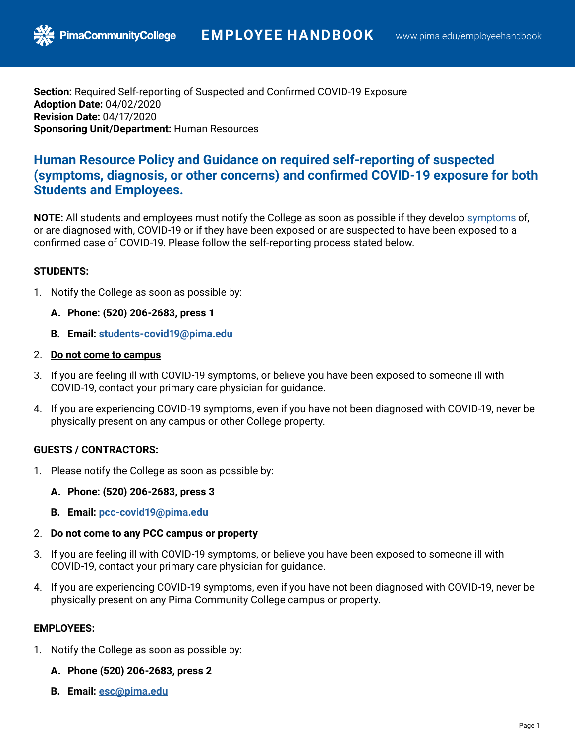**Section:** Required Self-reporting of Suspected and Confirmed COVID-19 Exposure **Adoption Date:** 04/02/2020 **Revision Date:** 04/17/2020 **Sponsoring Unit/Department:** Human Resources

# **Human Resource Policy and Guidance on required self-reporting of suspected (symptoms, diagnosis, or other concerns) and confirmed COVID-19 exposure for both Students and Employees.**

**NOTE:** All students and employees must notify the College as soon as possible if they develop [symptoms](https://www.cdc.gov/coronavirus/2019-ncov/about/symptoms.html) of, or are diagnosed with, COVID-19 or if they have been exposed or are suspected to have been exposed to a confirmed case of COVID-19. Please follow the self-reporting process stated below.

### **STUDENTS:**

- 1. Notify the College as soon as possible by:
	- **A. Phone: (520) 206-2683, press 1**

**PimaCommunityCollege** 

- **B. Email: [students-covid19@pima.edu](mailto:students-covid19@pima.edu)**
- 2. **Do not come to campus**
- 3. If you are feeling ill with COVID-19 symptoms, or believe you have been exposed to someone ill with COVID-19, contact your primary care physician for guidance.
- 4. If you are experiencing COVID-19 symptoms, even if you have not been diagnosed with COVID-19, never be physically present on any campus or other College property.

### **GUESTS / CONTRACTORS:**

- 1. Please notify the College as soon as possible by:
	- **A. Phone: (520) 206-2683, press 3**
	- **B. Email: [pcc-covid19@pima.edu](mailto:pcc-covid19@pima.edu)**
- 2. **Do not come to any PCC campus or property**
- 3. If you are feeling ill with COVID-19 symptoms, or believe you have been exposed to someone ill with COVID-19, contact your primary care physician for guidance.
- 4. If you are experiencing COVID-19 symptoms, even if you have not been diagnosed with COVID-19, never be physically present on any Pima Community College campus or property.

### **EMPLOYEES:**

- 1. Notify the College as soon as possible by:
	- **A. Phone (520) 206-2683, press 2**
	- **B. Email: [esc@pima.edu](mailto:pcc-covid19@pima.edu)**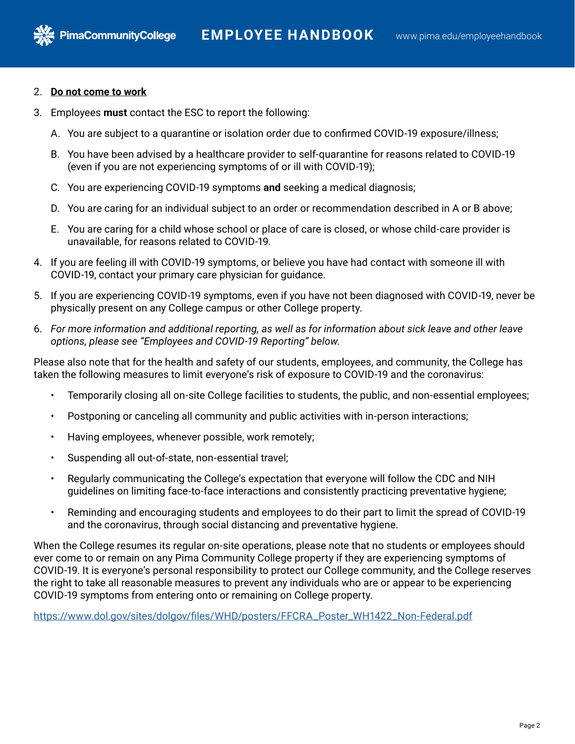2. **Do not come to work**

**PimaCommunityCollege** 

- 3. Employees **must** contact the ESC to report the following:
	- A. You are subject to a quarantine or isolation order due to confirmed COVID-19 exposure/illness;
	- B. You have been advised by a healthcare provider to self-quarantine for reasons related to COVID-19 (even if you are not experiencing symptoms of or ill with COVID-19);
	- C. You are experiencing COVID-19 symptoms **and** seeking a medical diagnosis;
	- D. You are caring for an individual subject to an order or recommendation described in A or B above;
	- E. You are caring for a child whose school or place of care is closed, or whose child-care provider is unavailable, for reasons related to COVID-19.
- 4. If you are feeling ill with COVID-19 symptoms, or believe you have had contact with someone ill with COVID-19, contact your primary care physician for guidance.
- 5. If you are experiencing COVID-19 symptoms, even if you have not been diagnosed with COVID-19, never be physically present on any College campus or other College property.
- 6. *For more information and additional reporting, as well as for information about sick leave and other leave options, please see "Employees and COVID-19 Reporting" below.*

Please also note that for the health and safety of our students, employees, and community, the College has taken the following measures to limit everyone's risk of exposure to COVID-19 and the coronavirus:

- Temporarily closing all on-site College facilities to students, the public, and non-essential employees;
- Postponing or canceling all community and public activities with in-person interactions;
- Having employees, whenever possible, work remotely;
- Suspending all out-of-state, non-essential travel;
- Regularly communicating the College's expectation that everyone will follow the CDC and NIH guidelines on limiting face-to-face interactions and consistently practicing preventative hygiene;
- Reminding and encouraging students and employees to do their part to limit the spread of COVID-19 and the coronavirus, through social distancing and preventative hygiene.

When the College resumes its regular on-site operations, please note that no students or employees should ever come to or remain on any Pima Community College property if they are experiencing symptoms of COVID-19. It is everyone's personal responsibility to protect our College community, and the College reserves the right to take all reasonable measures to prevent any individuals who are or appear to be experiencing COVID-19 symptoms from entering onto or remaining on College property.

[https://www.dol.gov/sites/dolgov/files/WHD/posters/FFCRA\\_Poster\\_WH1422\\_Non-Federal.pdf](https://www.dol.gov/sites/dolgov/files/WHD/posters/FFCRA_Poster_WH1422_Non-Federal.pdf)